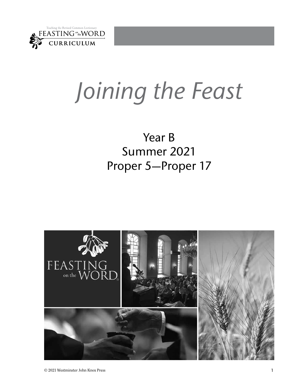

# *Joining the Feast*

### Year B Summer 2021 Proper 5—Proper 17

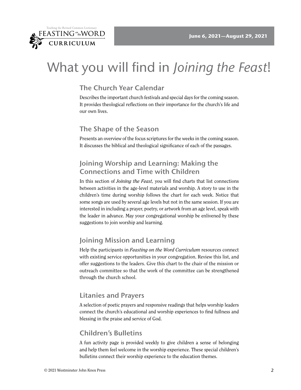

## What you will find in *Joining the Feast*!

#### **The Church Year Calendar**

Describes the important church festivals and special days for the coming season. It provides theological reflections on their importance for the church's life and our own lives.

#### **The Shape of the Season**

Presents an overview of the focus scriptures for the weeks in the coming season. It discusses the biblical and theological significance of each of the passages.

#### **Joining Worship and Learning: Making the Connections and Time with Children**

In this section of *Joining the Feast,* you will find charts that list connections between activities in the age-level materials and worship. A story to use in the children's time during worship follows the chart for each week. Notice that some songs are used by several age levels but not in the same session. If you are interested in including a prayer, poetry, or artwork from an age level, speak with the leader in advance. May your congregational worship be enlivened by these suggestions to join worship and learning.

#### **Joining Mission and Learning**

Help the participants in *Feasting on the Word Curriculum* resources connect with existing service opportunities in your congregation. Review this list, and offer suggestions to the leaders. Give this chart to the chair of the mission or outreach committee so that the work of the committee can be strengthened through the church school.

#### **Litanies and Prayers**

A selection of poetic prayers and responsive readings that helps worship leaders connect the church's educational and worship experiences to find fullness and blessing in the praise and service of God.

#### **Children's Bulletins**

A fun activity page is provided weekly to give children a sense of belonging and help them feel welcome in the worship experience. These special children's bulletins connect their worship experience to the education themes.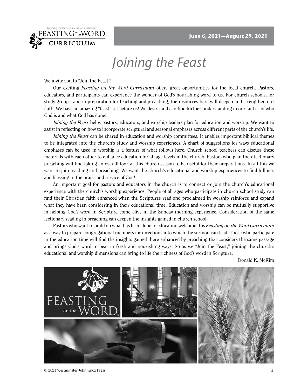

## *Joining the Feast*

We invite you to "Join the Feast"!

Our exciting *Feasting on the Word Curriculum* offers great opportunities for the local church. Pastors, educators, and participants can experience the wonder of God's nourishing word to us. For church schools, for study groups, and in preparation for teaching and preaching, the resources here will deepen and strengthen our faith. We have an amazing "feast" set before us! We desire and can find further understanding in our faith—of who God is and what God has done!

*Joining the Feast* helps pastors, educators, and worship leaders plan for education and worship. We want to assist in reflecting on how to incorporate scriptural and seasonal emphases across different parts of the church's life.

*Joining the Feast* can be shared in education and worship committees. It enables important biblical themes to be integrated into the church's study and worship experiences. A chart of suggestions for ways educational emphases can be used in worship is a feature of what follows here. Church school teachers can discuss these materials with each other to enhance education for all age levels in the church. Pastors who plan their lectionary preaching will find taking an overall look at this church season to be useful for their preparations. In all this we want to join teaching and preaching. We want the church's educational and worship experiences to find fullness and blessing in the praise and service of God!

An important goal for pastors and educators in the church is to connect or join the church's educational experience with the church's worship experience. People of all ages who participate in church school study can find their Christian faith enhanced when the Scriptures read and proclaimed in worship reinforce and expand what they have been considering in their educational time. Education and worship can be mutually supportive in helping God's word in Scripture come alive in the Sunday morning experience. Consideration of the same lectionary reading in preaching can deepen the insights gained in church school.

Pastors who want to build on what has been done in education welcome this *Feasting on the Word Curriculum*  as a way to prepare congregational members for directions into which the sermon can lead. Those who participate in the education time will find the insights gained there enhanced by preaching that considers the same passage and brings God's word to bear in fresh and nourishing ways. So as we "Join the Feast," joining the church's educational and worship dimensions can bring to life the richness of God's word in Scripture.

Donald K. McKim



© 2021 Westminster John Knox Press 3